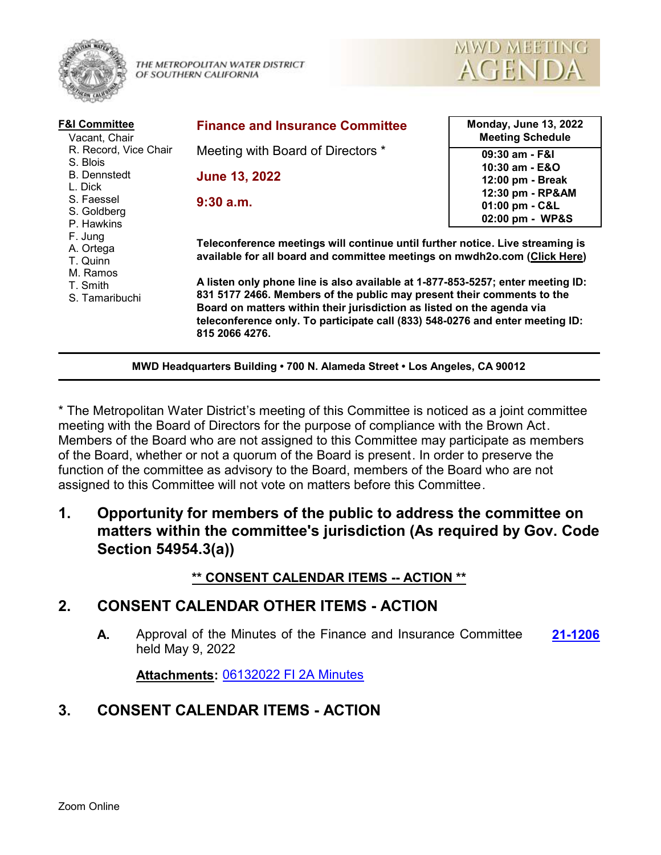

THE METROPOLITAN WATER DISTRICT OF SOUTHERN CALIFORNIA



| <b>F&amp;I Committee</b><br>Vacant, Chair                                                               | <b>Finance and Insurance Committee</b>                                                                                                                                                                                                                                                                                                                                                                                                                                                               | <b>Monday, June 13, 2022</b><br><b>Meeting Schedule</b> |
|---------------------------------------------------------------------------------------------------------|------------------------------------------------------------------------------------------------------------------------------------------------------------------------------------------------------------------------------------------------------------------------------------------------------------------------------------------------------------------------------------------------------------------------------------------------------------------------------------------------------|---------------------------------------------------------|
| R. Record, Vice Chair<br>S. Blois                                                                       | Meeting with Board of Directors *                                                                                                                                                                                                                                                                                                                                                                                                                                                                    | 09:30 am - F&I                                          |
| <b>B.</b> Dennstedt                                                                                     | <b>June 13, 2022</b>                                                                                                                                                                                                                                                                                                                                                                                                                                                                                 | 10:30 am - E&O<br>12:00 pm - Break                      |
| L. Dick<br>S. Faessel                                                                                   | $9:30$ a.m.                                                                                                                                                                                                                                                                                                                                                                                                                                                                                          | 12:30 pm - RP&AM                                        |
| S. Goldberg<br>P. Hawkins<br>F. Jung<br>A. Ortega<br>T. Quinn<br>M. Ramos<br>T. Smith<br>S. Tamaribuchi |                                                                                                                                                                                                                                                                                                                                                                                                                                                                                                      | 01:00 pm - C&L<br>02:00 pm - WP&S                       |
|                                                                                                         | Teleconference meetings will continue until further notice. Live streaming is<br>available for all board and committee meetings on mwdh2o.com (Click Here)<br>A listen only phone line is also available at 1-877-853-5257; enter meeting ID:<br>831 5177 2466. Members of the public may present their comments to the<br>Board on matters within their jurisdiction as listed on the agenda via<br>teleconference only. To participate call (833) 548-0276 and enter meeting ID:<br>815 2066 4276. |                                                         |

**MWD Headquarters Building • 700 N. Alameda Street • Los Angeles, CA 90012**

\* The Metropolitan Water District's meeting of this Committee is noticed as a joint committee meeting with the Board of Directors for the purpose of compliance with the Brown Act. Members of the Board who are not assigned to this Committee may participate as members of the Board, whether or not a quorum of the Board is present. In order to preserve the function of the committee as advisory to the Board, members of the Board who are not assigned to this Committee will not vote on matters before this Committee.

**1. Opportunity for members of the public to address the committee on matters within the committee's jurisdiction (As required by Gov. Code Section 54954.3(a))**

#### **\*\* CONSENT CALENDAR ITEMS -- ACTION \*\***

#### **2. CONSENT CALENDAR OTHER ITEMS - ACTION**

**A.** Approval of the Minutes of the Finance and Insurance Committee **[21-1206](http://mwdh2o.legistar.com/gateway.aspx?m=l&id=/matter.aspx?key=2298)** held May 9, 2022

**Attachments:** [06132022 FI 2A Minutes](http://mwdh2o.legistar.com/gateway.aspx?M=F&ID=1775994f-dda6-474d-ae81-9824c93bd32c.pdf)

# **3. CONSENT CALENDAR ITEMS - ACTION**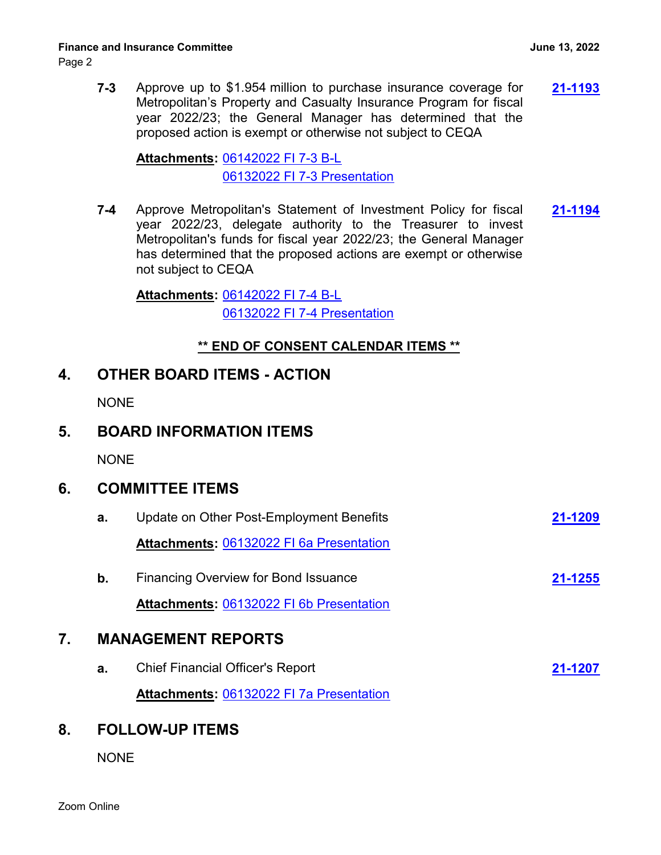**7-3** Approve up to \$1.954 million to purchase insurance coverage for **[21-1193](http://mwdh2o.legistar.com/gateway.aspx?m=l&id=/matter.aspx?key=2285)** Metropolitan's Property and Casualty Insurance Program for fiscal year 2022/23; the General Manager has determined that the proposed action is exempt or otherwise not subject to CEQA

[06142022 FI 7-3 B-L](http://mwdh2o.legistar.com/gateway.aspx?M=F&ID=c44a301d-f984-47ab-8699-faa3e60b170e.pdf) **Attachments:** [06132022 FI 7-3 Presentation](http://mwdh2o.legistar.com/gateway.aspx?M=F&ID=7feae29f-5fa7-4f2e-831a-a81e5002d828.pdf)

**7-4** Approve Metropolitan's Statement of Investment Policy for fiscal **[21-1194](http://mwdh2o.legistar.com/gateway.aspx?m=l&id=/matter.aspx?key=2286)** year 2022/23, delegate authority to the Treasurer to invest Metropolitan's funds for fiscal year 2022/23; the General Manager has determined that the proposed actions are exempt or otherwise not subject to CEQA

[06142022 FI 7-4 B-L](http://mwdh2o.legistar.com/gateway.aspx?M=F&ID=3c8cf442-b5af-43f8-b5a3-2fb36df01667.pdf) **Attachments:** [06132022 FI 7-4 Presentation](http://mwdh2o.legistar.com/gateway.aspx?M=F&ID=fff5b836-e9ac-4e7f-b36b-aa9bf0183c1c.pdf)

### **\*\* END OF CONSENT CALENDAR ITEMS \*\***

### **4. OTHER BOARD ITEMS - ACTION**

**NONE** 

NONE

# **6. COMMITTEE ITEMS**

|    | a. | Update on Other Post-Employment Benefits        | 21-1209 |  |
|----|----|-------------------------------------------------|---------|--|
|    |    | Attachments: 06132022 FI 6a Presentation        |         |  |
|    | b. | <b>Financing Overview for Bond Issuance</b>     | 21-1255 |  |
|    |    | <b>Attachments: 06132022 FI 6b Presentation</b> |         |  |
| 7. |    | <b>MANAGEMENT REPORTS</b>                       |         |  |
|    | a. | <b>Chief Financial Officer's Report</b>         | 21-1207 |  |
|    |    | <b>Attachments: 06132022 FI 7a Presentation</b> |         |  |
| 8. |    | <b>FOLLOW-UP ITEMS</b>                          |         |  |

**NONE**